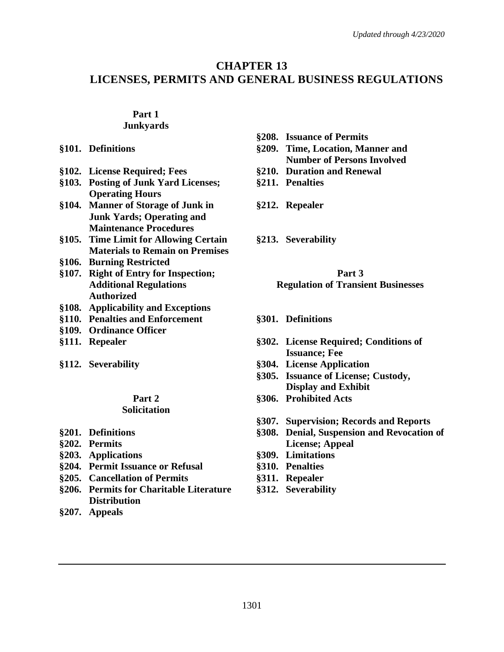# **CHAPTER 13 LICENSES, PERMITS AND GENERAL BUSINESS REGULATIONS**

### **Part 1**

#### **Junkyards**

- 
- **§102. License Required; Fees §210. Duration and Renewal**
- **§103. Posting of Junk Yard Licenses; Operating Hours**
- **§104. Manner of Storage of Junk in Junk Yards; Operating and Maintenance Procedures**
- **§105. Time Limit for Allowing Certain Materials to Remain on Premises**
- **§106. Burning Restricted**
- **§107. Right of Entry for Inspection; Additional Regulations Authorized**
- **§108. Applicability and Exceptions**
- **§110. Penalties and Enforcement**
- **§109. Ordinance Officer**
- 
- 

#### **Part 2 Solicitation**

- **§201. Definitions**
- **§202. Permits**
- **§203. Applications §309. Limitations**
- **§204. Permit Issuance or Refusal §310. Penalties**
- **§205. Cancellation of Permits §311. Repealer**
- **§206. Permits for Charitable Literature Distribution**
- **§207. Appeals**
- **§208. Issuance of Permits**
- **§101. Definitions §209. Time, Location, Manner and Number of Persons Involved**
	-
	- **§211. Penalties**
	- **§212. Repealer**
	- **§213. Severability**

## **Part 3 Regulation of Transient Businesses**

- **§301. Definitions**
- **§111. Repealer §302. License Required; Conditions of Issuance; Fee**
- **§112. Severability §304. License Application**
	- **§305. Issuance of License; Custody, Display and Exhibit**
	- **§306. Prohibited Acts**
	- **§307. Supervision; Records and Reports**
	- **§308. Denial, Suspension and Revocation of License; Appeal**
	-
	-
	-
	- **§312. Severability**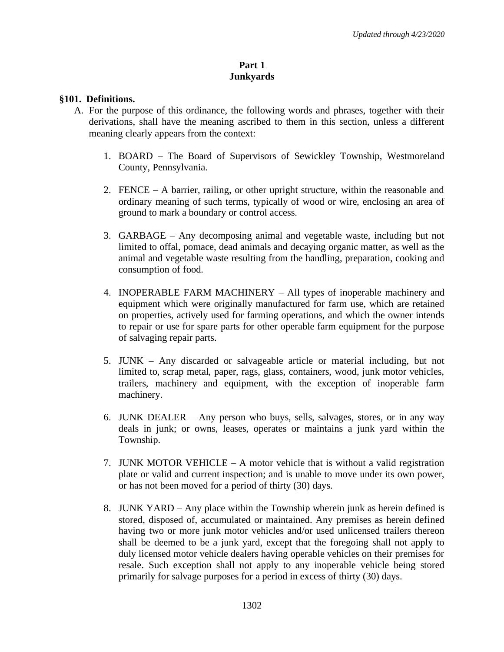#### **Part 1 Junkyards**

#### **§101. Definitions.**

- A. For the purpose of this ordinance, the following words and phrases, together with their derivations, shall have the meaning ascribed to them in this section, unless a different meaning clearly appears from the context:
	- 1. BOARD The Board of Supervisors of Sewickley Township, Westmoreland County, Pennsylvania.
	- 2. FENCE A barrier, railing, or other upright structure, within the reasonable and ordinary meaning of such terms, typically of wood or wire, enclosing an area of ground to mark a boundary or control access.
	- 3. GARBAGE Any decomposing animal and vegetable waste, including but not limited to offal, pomace, dead animals and decaying organic matter, as well as the animal and vegetable waste resulting from the handling, preparation, cooking and consumption of food.
	- 4. INOPERABLE FARM MACHINERY All types of inoperable machinery and equipment which were originally manufactured for farm use, which are retained on properties, actively used for farming operations, and which the owner intends to repair or use for spare parts for other operable farm equipment for the purpose of salvaging repair parts.
	- 5. JUNK Any discarded or salvageable article or material including, but not limited to, scrap metal, paper, rags, glass, containers, wood, junk motor vehicles, trailers, machinery and equipment, with the exception of inoperable farm machinery.
	- 6. JUNK DEALER Any person who buys, sells, salvages, stores, or in any way deals in junk; or owns, leases, operates or maintains a junk yard within the Township.
	- 7. JUNK MOTOR VEHICLE A motor vehicle that is without a valid registration plate or valid and current inspection; and is unable to move under its own power, or has not been moved for a period of thirty (30) days.
	- 8. JUNK YARD Any place within the Township wherein junk as herein defined is stored, disposed of, accumulated or maintained. Any premises as herein defined having two or more junk motor vehicles and/or used unlicensed trailers thereon shall be deemed to be a junk yard, except that the foregoing shall not apply to duly licensed motor vehicle dealers having operable vehicles on their premises for resale. Such exception shall not apply to any inoperable vehicle being stored primarily for salvage purposes for a period in excess of thirty (30) days.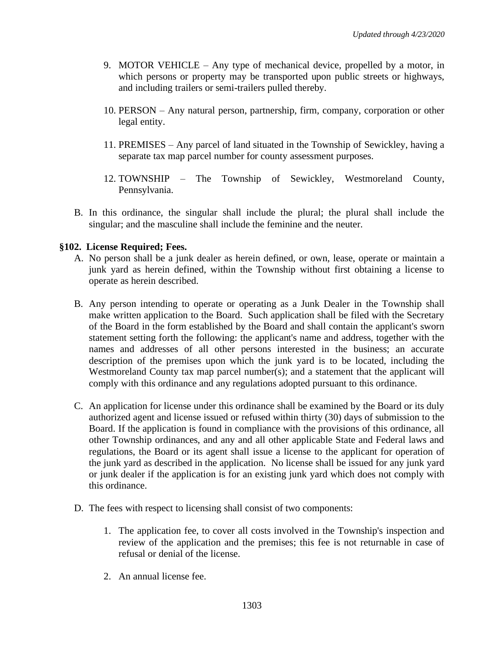- 9. MOTOR VEHICLE Any type of mechanical device, propelled by a motor, in which persons or property may be transported upon public streets or highways, and including trailers or semi-trailers pulled thereby.
- 10. PERSON Any natural person, partnership, firm, company, corporation or other legal entity.
- 11. PREMISES Any parcel of land situated in the Township of Sewickley, having a separate tax map parcel number for county assessment purposes.
- 12. TOWNSHIP The Township of Sewickley, Westmoreland County, Pennsylvania.
- B. In this ordinance, the singular shall include the plural; the plural shall include the singular; and the masculine shall include the feminine and the neuter.

## **§102. License Required; Fees.**

- A. No person shall be a junk dealer as herein defined, or own, lease, operate or maintain a junk yard as herein defined, within the Township without first obtaining a license to operate as herein described.
- B. Any person intending to operate or operating as a Junk Dealer in the Township shall make written application to the Board. Such application shall be filed with the Secretary of the Board in the form established by the Board and shall contain the applicant's sworn statement setting forth the following: the applicant's name and address, together with the names and addresses of all other persons interested in the business; an accurate description of the premises upon which the junk yard is to be located, including the Westmoreland County tax map parcel number(s); and a statement that the applicant will comply with this ordinance and any regulations adopted pursuant to this ordinance.
- C. An application for license under this ordinance shall be examined by the Board or its duly authorized agent and license issued or refused within thirty (30) days of submission to the Board. If the application is found in compliance with the provisions of this ordinance, all other Township ordinances, and any and all other applicable State and Federal laws and regulations, the Board or its agent shall issue a license to the applicant for operation of the junk yard as described in the application. No license shall be issued for any junk yard or junk dealer if the application is for an existing junk yard which does not comply with this ordinance.
- D. The fees with respect to licensing shall consist of two components:
	- 1. The application fee, to cover all costs involved in the Township's inspection and review of the application and the premises; this fee is not returnable in case of refusal or denial of the license.
	- 2. An annual license fee.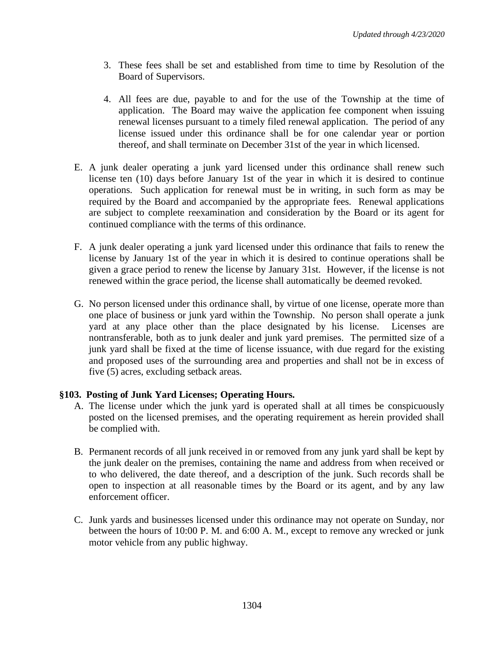- 3. These fees shall be set and established from time to time by Resolution of the Board of Supervisors.
- 4. All fees are due, payable to and for the use of the Township at the time of application. The Board may waive the application fee component when issuing renewal licenses pursuant to a timely filed renewal application. The period of any license issued under this ordinance shall be for one calendar year or portion thereof, and shall terminate on December 31st of the year in which licensed.
- E. A junk dealer operating a junk yard licensed under this ordinance shall renew such license ten (10) days before January 1st of the year in which it is desired to continue operations. Such application for renewal must be in writing, in such form as may be required by the Board and accompanied by the appropriate fees. Renewal applications are subject to complete reexamination and consideration by the Board or its agent for continued compliance with the terms of this ordinance.
- F. A junk dealer operating a junk yard licensed under this ordinance that fails to renew the license by January 1st of the year in which it is desired to continue operations shall be given a grace period to renew the license by January 31st. However, if the license is not renewed within the grace period, the license shall automatically be deemed revoked.
- G. No person licensed under this ordinance shall, by virtue of one license, operate more than one place of business or junk yard within the Township. No person shall operate a junk yard at any place other than the place designated by his license. Licenses are nontransferable, both as to junk dealer and junk yard premises. The permitted size of a junk yard shall be fixed at the time of license issuance, with due regard for the existing and proposed uses of the surrounding area and properties and shall not be in excess of five (5) acres, excluding setback areas.

#### **§103. Posting of Junk Yard Licenses; Operating Hours.**

- A. The license under which the junk yard is operated shall at all times be conspicuously posted on the licensed premises, and the operating requirement as herein provided shall be complied with.
- B. Permanent records of all junk received in or removed from any junk yard shall be kept by the junk dealer on the premises, containing the name and address from when received or to who delivered, the date thereof, and a description of the junk. Such records shall be open to inspection at all reasonable times by the Board or its agent, and by any law enforcement officer.
- C. Junk yards and businesses licensed under this ordinance may not operate on Sunday, nor between the hours of 10:00 P. M. and 6:00 A. M., except to remove any wrecked or junk motor vehicle from any public highway.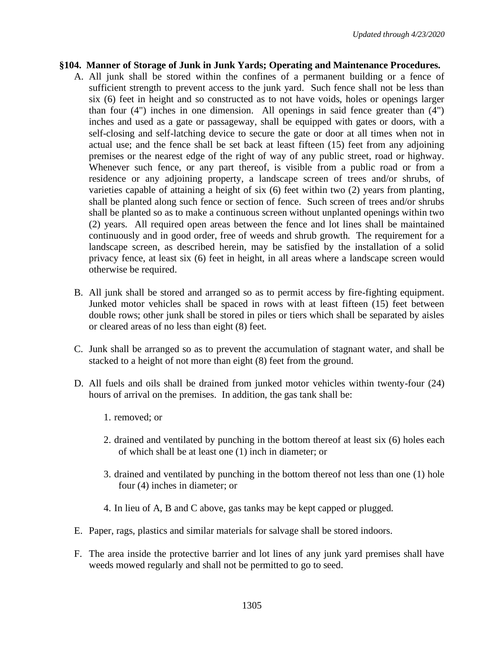#### **§104. Manner of Storage of Junk in Junk Yards; Operating and Maintenance Procedures.**

- A. All junk shall be stored within the confines of a permanent building or a fence of sufficient strength to prevent access to the junk yard. Such fence shall not be less than six (6) feet in height and so constructed as to not have voids, holes or openings larger than four (4") inches in one dimension. All openings in said fence greater than (4") inches and used as a gate or passageway, shall be equipped with gates or doors, with a self-closing and self-latching device to secure the gate or door at all times when not in actual use; and the fence shall be set back at least fifteen (15) feet from any adjoining premises or the nearest edge of the right of way of any public street, road or highway. Whenever such fence, or any part thereof, is visible from a public road or from a residence or any adjoining property, a landscape screen of trees and/or shrubs, of varieties capable of attaining a height of six (6) feet within two (2) years from planting, shall be planted along such fence or section of fence. Such screen of trees and/or shrubs shall be planted so as to make a continuous screen without unplanted openings within two (2) years. All required open areas between the fence and lot lines shall be maintained continuously and in good order, free of weeds and shrub growth. The requirement for a landscape screen, as described herein, may be satisfied by the installation of a solid privacy fence, at least six (6) feet in height, in all areas where a landscape screen would otherwise be required.
- B. All junk shall be stored and arranged so as to permit access by fire-fighting equipment. Junked motor vehicles shall be spaced in rows with at least fifteen (15) feet between double rows; other junk shall be stored in piles or tiers which shall be separated by aisles or cleared areas of no less than eight (8) feet.
- C. Junk shall be arranged so as to prevent the accumulation of stagnant water, and shall be stacked to a height of not more than eight (8) feet from the ground.
- D. All fuels and oils shall be drained from junked motor vehicles within twenty-four (24) hours of arrival on the premises. In addition, the gas tank shall be:
	- 1. removed; or
	- 2. drained and ventilated by punching in the bottom thereof at least six (6) holes each of which shall be at least one (1) inch in diameter; or
	- 3. drained and ventilated by punching in the bottom thereof not less than one (1) hole four (4) inches in diameter; or
	- 4. In lieu of A, B and C above, gas tanks may be kept capped or plugged.
- E. Paper, rags, plastics and similar materials for salvage shall be stored indoors.
- F. The area inside the protective barrier and lot lines of any junk yard premises shall have weeds mowed regularly and shall not be permitted to go to seed.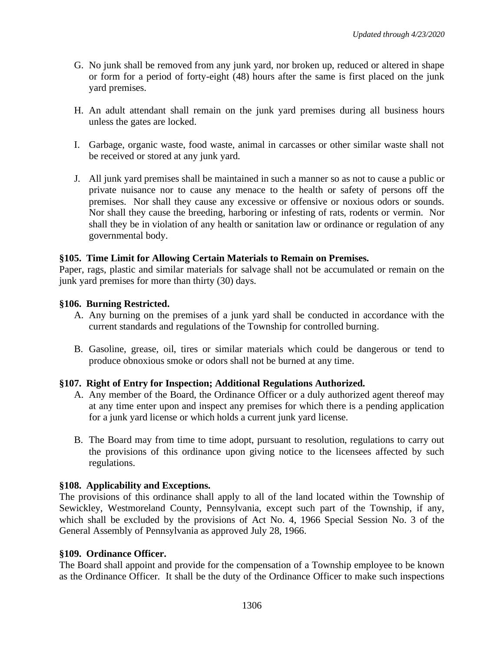- G. No junk shall be removed from any junk yard, nor broken up, reduced or altered in shape or form for a period of forty-eight (48) hours after the same is first placed on the junk yard premises.
- H. An adult attendant shall remain on the junk yard premises during all business hours unless the gates are locked.
- I. Garbage, organic waste, food waste, animal in carcasses or other similar waste shall not be received or stored at any junk yard.
- J. All junk yard premises shall be maintained in such a manner so as not to cause a public or private nuisance nor to cause any menace to the health or safety of persons off the premises. Nor shall they cause any excessive or offensive or noxious odors or sounds. Nor shall they cause the breeding, harboring or infesting of rats, rodents or vermin. Nor shall they be in violation of any health or sanitation law or ordinance or regulation of any governmental body.

### **§105. Time Limit for Allowing Certain Materials to Remain on Premises.**

Paper, rags, plastic and similar materials for salvage shall not be accumulated or remain on the junk yard premises for more than thirty (30) days.

### **§106. Burning Restricted.**

- A. Any burning on the premises of a junk yard shall be conducted in accordance with the current standards and regulations of the Township for controlled burning.
- B. Gasoline, grease, oil, tires or similar materials which could be dangerous or tend to produce obnoxious smoke or odors shall not be burned at any time.

#### **§107. Right of Entry for Inspection; Additional Regulations Authorized.**

- A. Any member of the Board, the Ordinance Officer or a duly authorized agent thereof may at any time enter upon and inspect any premises for which there is a pending application for a junk yard license or which holds a current junk yard license.
- B. The Board may from time to time adopt, pursuant to resolution, regulations to carry out the provisions of this ordinance upon giving notice to the licensees affected by such regulations.

#### **§108. Applicability and Exceptions.**

The provisions of this ordinance shall apply to all of the land located within the Township of Sewickley, Westmoreland County, Pennsylvania, except such part of the Township, if any, which shall be excluded by the provisions of Act No. 4, 1966 Special Session No. 3 of the General Assembly of Pennsylvania as approved July 28, 1966.

#### **§109. Ordinance Officer.**

The Board shall appoint and provide for the compensation of a Township employee to be known as the Ordinance Officer. It shall be the duty of the Ordinance Officer to make such inspections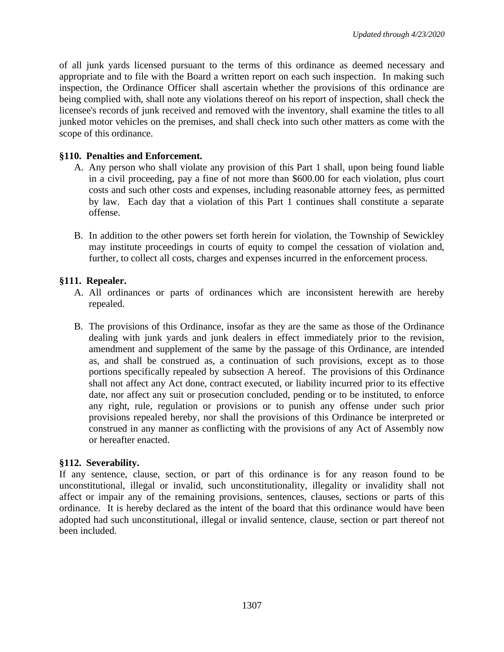of all junk yards licensed pursuant to the terms of this ordinance as deemed necessary and appropriate and to file with the Board a written report on each such inspection. In making such inspection, the Ordinance Officer shall ascertain whether the provisions of this ordinance are being complied with, shall note any violations thereof on his report of inspection, shall check the licensee's records of junk received and removed with the inventory, shall examine the titles to all junked motor vehicles on the premises, and shall check into such other matters as come with the scope of this ordinance.

#### **§110. Penalties and Enforcement.**

- A. Any person who shall violate any provision of this Part 1 shall, upon being found liable in a civil proceeding, pay a fine of not more than \$600.00 for each violation, plus court costs and such other costs and expenses, including reasonable attorney fees, as permitted by law. Each day that a violation of this Part 1 continues shall constitute a separate offense.
- B. In addition to the other powers set forth herein for violation, the Township of Sewickley may institute proceedings in courts of equity to compel the cessation of violation and, further, to collect all costs, charges and expenses incurred in the enforcement process.

#### **§111. Repealer.**

- A. All ordinances or parts of ordinances which are inconsistent herewith are hereby repealed.
- B. The provisions of this Ordinance, insofar as they are the same as those of the Ordinance dealing with junk yards and junk dealers in effect immediately prior to the revision, amendment and supplement of the same by the passage of this Ordinance, are intended as, and shall be construed as, a continuation of such provisions, except as to those portions specifically repealed by subsection A hereof. The provisions of this Ordinance shall not affect any Act done, contract executed, or liability incurred prior to its effective date, nor affect any suit or prosecution concluded, pending or to be instituted, to enforce any right, rule, regulation or provisions or to punish any offense under such prior provisions repealed hereby, nor shall the provisions of this Ordinance be interpreted or construed in any manner as conflicting with the provisions of any Act of Assembly now or hereafter enacted.

#### **§112. Severability.**

If any sentence, clause, section, or part of this ordinance is for any reason found to be unconstitutional, illegal or invalid, such unconstitutionality, illegality or invalidity shall not affect or impair any of the remaining provisions, sentences, clauses, sections or parts of this ordinance. It is hereby declared as the intent of the board that this ordinance would have been adopted had such unconstitutional, illegal or invalid sentence, clause, section or part thereof not been included.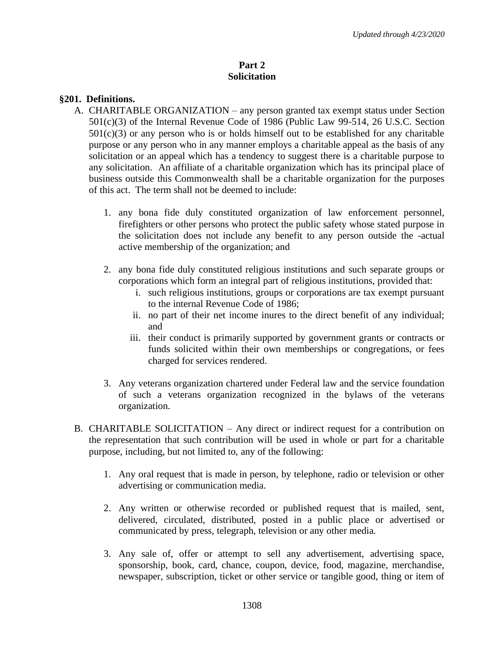### **Part 2 Solicitation**

### **§201. Definitions.**

- A. CHARITABLE ORGANIZATION any person granted tax exempt status under Section 501(c)(3) of the Internal Revenue Code of 1986 (Public Law 99-514, 26 U.S.C. Section  $501(c)(3)$  or any person who is or holds himself out to be established for any charitable purpose or any person who in any manner employs a charitable appeal as the basis of any solicitation or an appeal which has a tendency to suggest there is a charitable purpose to any solicitation. An affiliate of a charitable organization which has its principal place of business outside this Commonwealth shall be a charitable organization for the purposes of this act. The term shall not be deemed to include:
	- 1. any bona fide duly constituted organization of law enforcement personnel, firefighters or other persons who protect the public safety whose stated purpose in the solicitation does not include any benefit to any person outside the -actual active membership of the organization; and
	- 2. any bona fide duly constituted religious institutions and such separate groups or corporations which form an integral part of religious institutions, provided that:
		- i. such religious institutions, groups or corporations are tax exempt pursuant to the internal Revenue Code of 1986;
		- ii. no part of their net income inures to the direct benefit of any individual; and
		- iii. their conduct is primarily supported by government grants or contracts or funds solicited within their own memberships or congregations, or fees charged for services rendered.
	- 3. Any veterans organization chartered under Federal law and the service foundation of such a veterans organization recognized in the bylaws of the veterans organization.
- B. CHARITABLE SOLICITATION Any direct or indirect request for a contribution on the representation that such contribution will be used in whole or part for a charitable purpose, including, but not limited to, any of the following:
	- 1. Any oral request that is made in person, by telephone, radio or television or other advertising or communication media.
	- 2. Any written or otherwise recorded or published request that is mailed, sent, delivered, circulated, distributed, posted in a public place or advertised or communicated by press, telegraph, television or any other media.
	- 3. Any sale of, offer or attempt to sell any advertisement, advertising space, sponsorship, book, card, chance, coupon, device, food, magazine, merchandise, newspaper, subscription, ticket or other service or tangible good, thing or item of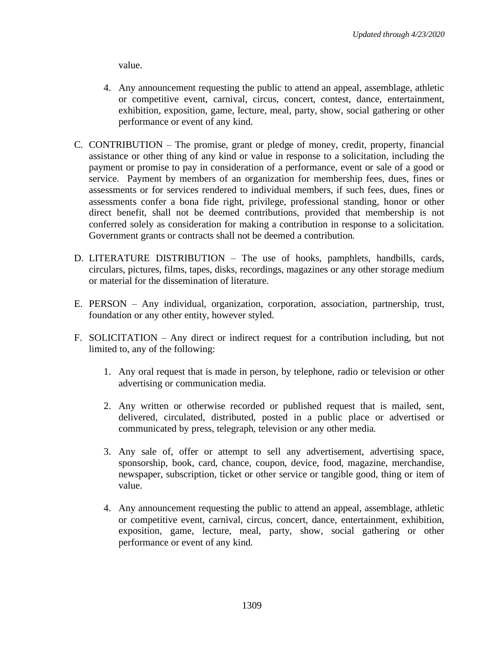value.

- 4. Any announcement requesting the public to attend an appeal, assemblage, athletic or competitive event, carnival, circus, concert, contest, dance, entertainment, exhibition, exposition, game, lecture, meal, party, show, social gathering or other performance or event of any kind.
- C. CONTRIBUTION The promise, grant or pledge of money, credit, property, financial assistance or other thing of any kind or value in response to a solicitation, including the payment or promise to pay in consideration of a performance, event or sale of a good or service. Payment by members of an organization for membership fees, dues, fines or assessments or for services rendered to individual members, if such fees, dues, fines or assessments confer a bona fide right, privilege, professional standing, honor or other direct benefit, shall not be deemed contributions, provided that membership is not conferred solely as consideration for making a contribution in response to a solicitation. Government grants or contracts shall not be deemed a contribution.
- D. LITERATURE DISTRIBUTION The use of hooks, pamphlets, handbills, cards, circulars, pictures, films, tapes, disks, recordings, magazines or any other storage medium or material for the dissemination of literature.
- E. PERSON Any individual, organization, corporation, association, partnership, trust, foundation or any other entity, however styled.
- F. SOLICITATION Any direct or indirect request for a contribution including, but not limited to, any of the following:
	- 1. Any oral request that is made in person, by telephone, radio or television or other advertising or communication media.
	- 2. Any written or otherwise recorded or published request that is mailed, sent, delivered, circulated, distributed, posted in a public place or advertised or communicated by press, telegraph, television or any other media.
	- 3. Any sale of, offer or attempt to sell any advertisement, advertising space, sponsorship, book, card, chance, coupon, device, food, magazine, merchandise, newspaper, subscription, ticket or other service or tangible good, thing or item of value.
	- 4. Any announcement requesting the public to attend an appeal, assemblage, athletic or competitive event, carnival, circus, concert, dance, entertainment, exhibition, exposition, game, lecture, meal, party, show, social gathering or other performance or event of any kind.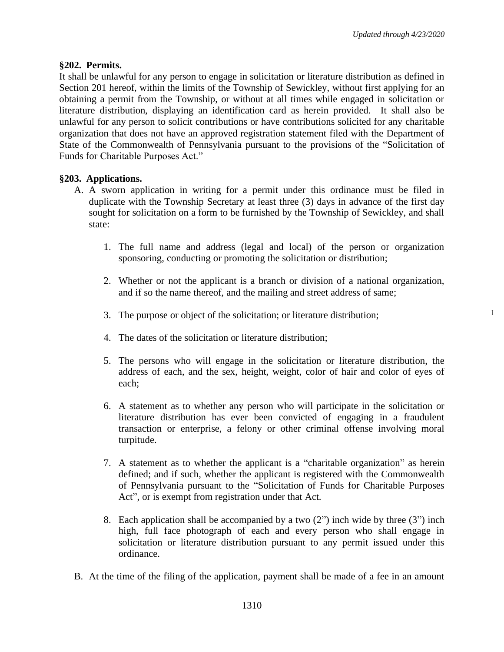I

#### **§202. Permits.**

It shall be unlawful for any person to engage in solicitation or literature distribution as defined in Section 201 hereof, within the limits of the Township of Sewickley, without first applying for an obtaining a permit from the Township, or without at all times while engaged in solicitation or literature distribution, displaying an identification card as herein provided. It shall also be unlawful for any person to solicit contributions or have contributions solicited for any charitable organization that does not have an approved registration statement filed with the Department of State of the Commonwealth of Pennsylvania pursuant to the provisions of the "Solicitation of Funds for Charitable Purposes Act."

#### **§203. Applications.**

- A. A sworn application in writing for a permit under this ordinance must be filed in duplicate with the Township Secretary at least three (3) days in advance of the first day sought for solicitation on a form to be furnished by the Township of Sewickley, and shall state:
	- 1. The full name and address (legal and local) of the person or organization sponsoring, conducting or promoting the solicitation or distribution;
	- 2. Whether or not the applicant is a branch or division of a national organization, and if so the name thereof, and the mailing and street address of same;
	- 3. The purpose or object of the solicitation; or literature distribution;
	- 4. The dates of the solicitation or literature distribution;
	- 5. The persons who will engage in the solicitation or literature distribution, the address of each, and the sex, height, weight, color of hair and color of eyes of each;
	- 6. A statement as to whether any person who will participate in the solicitation or literature distribution has ever been convicted of engaging in a fraudulent transaction or enterprise, a felony or other criminal offense involving moral turpitude.
	- 7. A statement as to whether the applicant is a "charitable organization" as herein defined; and if such, whether the applicant is registered with the Commonwealth of Pennsylvania pursuant to the "Solicitation of Funds for Charitable Purposes Act", or is exempt from registration under that Act.
	- 8. Each application shall be accompanied by a two  $(2<sup>n</sup>)$  inch wide by three  $(3<sup>n</sup>)$  inch high, full face photograph of each and every person who shall engage in solicitation or literature distribution pursuant to any permit issued under this ordinance.
- B. At the time of the filing of the application, payment shall be made of a fee in an amount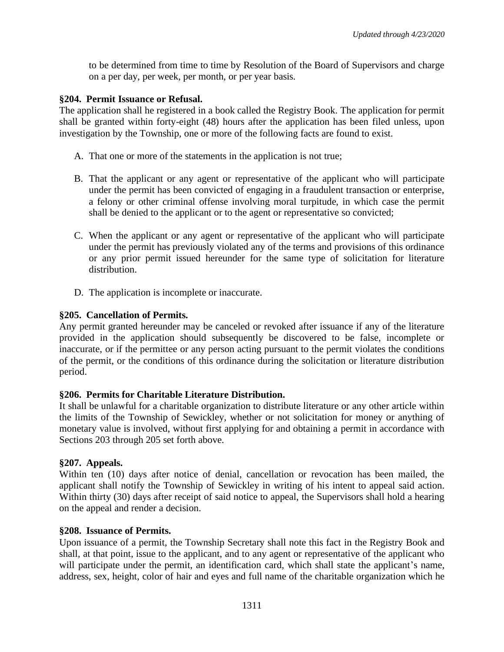to be determined from time to time by Resolution of the Board of Supervisors and charge on a per day, per week, per month, or per year basis.

### **§204. Permit Issuance or Refusal.**

The application shall he registered in a book called the Registry Book. The application for permit shall be granted within forty-eight (48) hours after the application has been filed unless, upon investigation by the Township, one or more of the following facts are found to exist.

- A. That one or more of the statements in the application is not true;
- B. That the applicant or any agent or representative of the applicant who will participate under the permit has been convicted of engaging in a fraudulent transaction or enterprise, a felony or other criminal offense involving moral turpitude, in which case the permit shall be denied to the applicant or to the agent or representative so convicted;
- C. When the applicant or any agent or representative of the applicant who will participate under the permit has previously violated any of the terms and provisions of this ordinance or any prior permit issued hereunder for the same type of solicitation for literature distribution.
- D. The application is incomplete or inaccurate.

### **§205. Cancellation of Permits.**

Any permit granted hereunder may be canceled or revoked after issuance if any of the literature provided in the application should subsequently be discovered to be false, incomplete or inaccurate, or if the permittee or any person acting pursuant to the permit violates the conditions of the permit, or the conditions of this ordinance during the solicitation or literature distribution period.

#### **§206. Permits for Charitable Literature Distribution.**

It shall be unlawful for a charitable organization to distribute literature or any other article within the limits of the Township of Sewickley, whether or not solicitation for money or anything of monetary value is involved, without first applying for and obtaining a permit in accordance with Sections 203 through 205 set forth above.

#### **§207. Appeals.**

Within ten (10) days after notice of denial, cancellation or revocation has been mailed, the applicant shall notify the Township of Sewickley in writing of his intent to appeal said action. Within thirty (30) days after receipt of said notice to appeal, the Supervisors shall hold a hearing on the appeal and render a decision.

#### **§208. Issuance of Permits.**

Upon issuance of a permit, the Township Secretary shall note this fact in the Registry Book and shall, at that point, issue to the applicant, and to any agent or representative of the applicant who will participate under the permit, an identification card, which shall state the applicant's name, address, sex, height, color of hair and eyes and full name of the charitable organization which he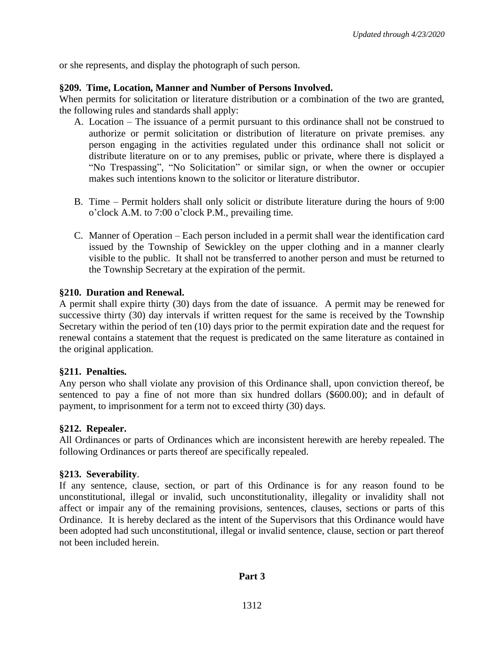or she represents, and display the photograph of such person.

### **§209. Time, Location, Manner and Number of Persons Involved.**

When permits for solicitation or literature distribution or a combination of the two are granted, the following rules and standards shall apply:

- A. Location The issuance of a permit pursuant to this ordinance shall not be construed to authorize or permit solicitation or distribution of literature on private premises. any person engaging in the activities regulated under this ordinance shall not solicit or distribute literature on or to any premises, public or private, where there is displayed a "No Trespassing", "No Solicitation" or similar sign, or when the owner or occupier makes such intentions known to the solicitor or literature distributor.
- B. Time Permit holders shall only solicit or distribute literature during the hours of 9:00 o'clock A.M. to 7:00 o'clock P.M., prevailing time.
- C. Manner of Operation Each person included in a permit shall wear the identification card issued by the Township of Sewickley on the upper clothing and in a manner clearly visible to the public. It shall not be transferred to another person and must be returned to the Township Secretary at the expiration of the permit.

### **§210. Duration and Renewal.**

A permit shall expire thirty (30) days from the date of issuance. A permit may be renewed for successive thirty (30) day intervals if written request for the same is received by the Township Secretary within the period of ten (10) days prior to the permit expiration date and the request for renewal contains a statement that the request is predicated on the same literature as contained in the original application.

#### **§211. Penalties.**

Any person who shall violate any provision of this Ordinance shall, upon conviction thereof, be sentenced to pay a fine of not more than six hundred dollars (\$600.00); and in default of payment, to imprisonment for a term not to exceed thirty (30) days.

#### **§212. Repealer.**

All Ordinances or parts of Ordinances which are inconsistent herewith are hereby repealed. The following Ordinances or parts thereof are specifically repealed.

#### **§213. Severability**.

If any sentence, clause, section, or part of this Ordinance is for any reason found to be unconstitutional, illegal or invalid, such unconstitutionality, illegality or invalidity shall not affect or impair any of the remaining provisions, sentences, clauses, sections or parts of this Ordinance. It is hereby declared as the intent of the Supervisors that this Ordinance would have been adopted had such unconstitutional, illegal or invalid sentence, clause, section or part thereof not been included herein.

## **Part 3**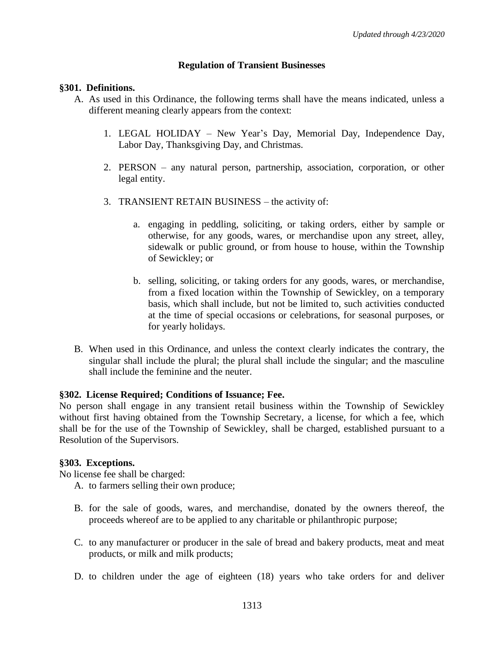### **Regulation of Transient Businesses**

### **§301. Definitions.**

- A. As used in this Ordinance, the following terms shall have the means indicated, unless a different meaning clearly appears from the context:
	- 1. LEGAL HOLIDAY New Year's Day, Memorial Day, Independence Day, Labor Day, Thanksgiving Day, and Christmas.
	- 2. PERSON any natural person, partnership, association, corporation, or other legal entity.
	- 3. TRANSIENT RETAIN BUSINESS the activity of:
		- a. engaging in peddling, soliciting, or taking orders, either by sample or otherwise, for any goods, wares, or merchandise upon any street, alley, sidewalk or public ground, or from house to house, within the Township of Sewickley; or
		- b. selling, soliciting, or taking orders for any goods, wares, or merchandise, from a fixed location within the Township of Sewickley, on a temporary basis, which shall include, but not be limited to, such activities conducted at the time of special occasions or celebrations, for seasonal purposes, or for yearly holidays.
- B. When used in this Ordinance, and unless the context clearly indicates the contrary, the singular shall include the plural; the plural shall include the singular; and the masculine shall include the feminine and the neuter.

#### **§302. License Required; Conditions of Issuance; Fee.**

No person shall engage in any transient retail business within the Township of Sewickley without first having obtained from the Township Secretary, a license, for which a fee, which shall be for the use of the Township of Sewickley, shall be charged, established pursuant to a Resolution of the Supervisors.

## **§303. Exceptions.**

No license fee shall be charged:

- A. to farmers selling their own produce;
- B. for the sale of goods, wares, and merchandise, donated by the owners thereof, the proceeds whereof are to be applied to any charitable or philanthropic purpose;
- C. to any manufacturer or producer in the sale of bread and bakery products, meat and meat products, or milk and milk products;
- D. to children under the age of eighteen (18) years who take orders for and deliver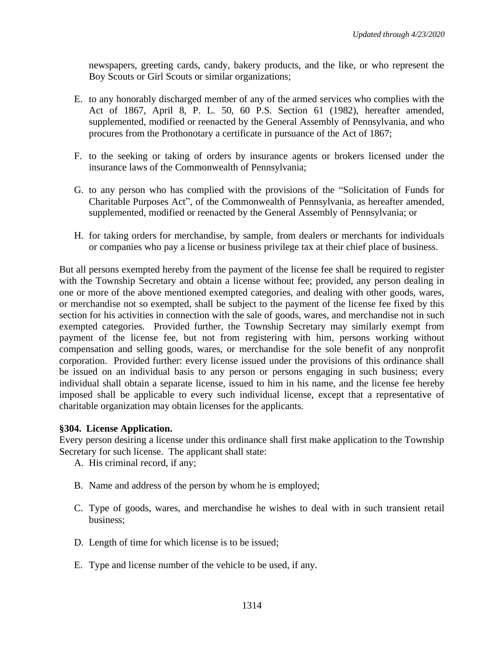newspapers, greeting cards, candy, bakery products, and the like, or who represent the Boy Scouts or Girl Scouts or similar organizations;

- E. to any honorably discharged member of any of the armed services who complies with the Act of 1867, April 8, P. L. 50, 60 P.S. Section 61 (1982), hereafter amended, supplemented, modified or reenacted by the General Assembly of Pennsylvania, and who procures from the Prothonotary a certificate in pursuance of the Act of 1867;
- F. to the seeking or taking of orders by insurance agents or brokers licensed under the insurance laws of the Commonwealth of Pennsylvania;
- G. to any person who has complied with the provisions of the "Solicitation of Funds for Charitable Purposes Act", of the Commonwealth of Pennsylvania, as hereafter amended, supplemented, modified or reenacted by the General Assembly of Pennsylvania; or
- H. for taking orders for merchandise, by sample, from dealers or merchants for individuals or companies who pay a license or business privilege tax at their chief place of business.

But all persons exempted hereby from the payment of the license fee shall be required to register with the Township Secretary and obtain a license without fee; provided, any person dealing in one or more of the above mentioned exempted categories, and dealing with other goods, wares, or merchandise not so exempted, shall be subject to the payment of the license fee fixed by this section for his activities in connection with the sale of goods, wares, and merchandise not in such exempted categories. Provided further, the Township Secretary may similarly exempt from payment of the license fee, but not from registering with him, persons working without compensation and selling goods, wares, or merchandise for the sole benefit of any nonprofit corporation. Provided further: every license issued under the provisions of this ordinance shall be issued on an individual basis to any person or persons engaging in such business; every individual shall obtain a separate license, issued to him in his name, and the license fee hereby imposed shall be applicable to every such individual license, except that a representative of charitable organization may obtain licenses for the applicants.

## **§304. License Application.**

Every person desiring a license under this ordinance shall first make application to the Township Secretary for such license. The applicant shall state:

- A. His criminal record, if any;
- B. Name and address of the person by whom he is employed;
- C. Type of goods, wares, and merchandise he wishes to deal with in such transient retail business;
- D. Length of time for which license is to be issued;
- E. Type and license number of the vehicle to be used, if any.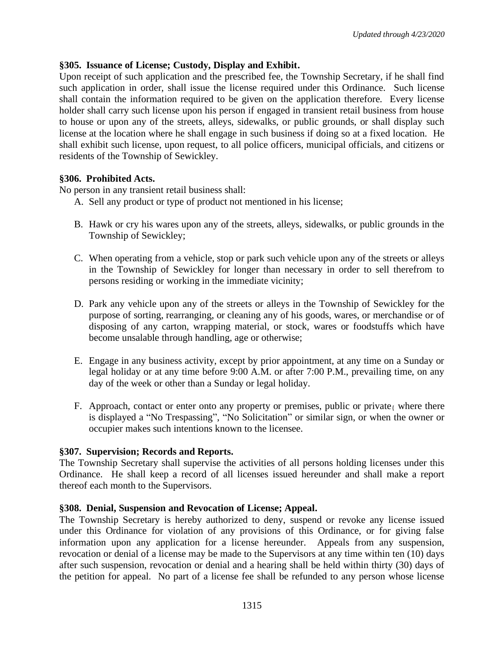## **§305. Issuance of License; Custody, Display and Exhibit.**

Upon receipt of such application and the prescribed fee, the Township Secretary, if he shall find such application in order, shall issue the license required under this Ordinance. Such license shall contain the information required to be given on the application therefore. Every license holder shall carry such license upon his person if engaged in transient retail business from house to house or upon any of the streets, alleys, sidewalks, or public grounds, or shall display such license at the location where he shall engage in such business if doing so at a fixed location. He shall exhibit such license, upon request, to all police officers, municipal officials, and citizens or residents of the Township of Sewickley.

## **§306. Prohibited Acts.**

No person in any transient retail business shall:

- A. Sell any product or type of product not mentioned in his license;
- B. Hawk or cry his wares upon any of the streets, alleys, sidewalks, or public grounds in the Township of Sewickley;
- C. When operating from a vehicle, stop or park such vehicle upon any of the streets or alleys in the Township of Sewickley for longer than necessary in order to sell therefrom to persons residing or working in the immediate vicinity;
- D. Park any vehicle upon any of the streets or alleys in the Township of Sewickley for the purpose of sorting, rearranging, or cleaning any of his goods, wares, or merchandise or of disposing of any carton, wrapping material, or stock, wares or foodstuffs which have become unsalable through handling, age or otherwise;
- E. Engage in any business activity, except by prior appointment, at any time on a Sunday or legal holiday or at any time before 9:00 A.M. or after 7:00 P.M., prevailing time, on any day of the week or other than a Sunday or legal holiday.
- F. Approach, contact or enter onto any property or premises, public or private where there is displayed a "No Trespassing", "No Solicitation" or similar sign, or when the owner or occupier makes such intentions known to the licensee.

#### **§307. Supervision; Records and Reports.**

The Township Secretary shall supervise the activities of all persons holding licenses under this Ordinance. He shall keep a record of all licenses issued hereunder and shall make a report thereof each month to the Supervisors.

#### **§308. Denial, Suspension and Revocation of License; Appeal.**

The Township Secretary is hereby authorized to deny, suspend or revoke any license issued under this Ordinance for violation of any provisions of this Ordinance, or for giving false information upon any application for a license hereunder. Appeals from any suspension, revocation or denial of a license may be made to the Supervisors at any time within ten (10) days after such suspension, revocation or denial and a hearing shall be held within thirty (30) days of the petition for appeal. No part of a license fee shall be refunded to any person whose license